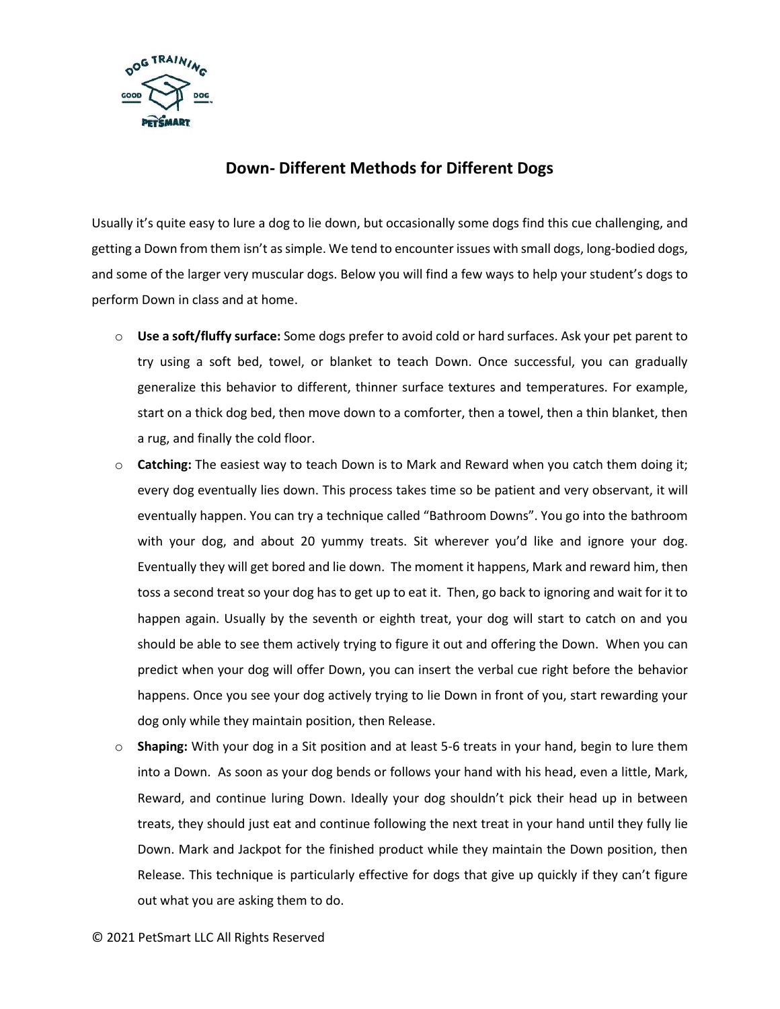

## **Down- Different Methods for Different Dogs**

Usually it's quite easy to lure a dog to lie down, but occasionally some dogs find this cue challenging, and getting a Down from them isn't as simple. We tend to encounter issues with small dogs, long-bodied dogs, and some of the larger very muscular dogs. Below you will find a few ways to help your student's dogs to perform Down in class and at home.

- o **Use a soft/fluffy surface:** Some dogs prefer to avoid cold or hard surfaces. Ask your pet parent to try using a soft bed, towel, or blanket to teach Down. Once successful, you can gradually generalize this behavior to different, thinner surface textures and temperatures. For example, start on a thick dog bed, then move down to a comforter, then a towel, then a thin blanket, then a rug, and finally the cold floor.
- o **Catching:** The easiest way to teach Down is to Mark and Reward when you catch them doing it; every dog eventually lies down. This process takes time so be patient and very observant, it will eventually happen. You can try a technique called "Bathroom Downs". You go into the bathroom with your dog, and about 20 yummy treats. Sit wherever you'd like and ignore your dog. Eventually they will get bored and lie down. The moment it happens, Mark and reward him, then toss a second treat so your dog has to get up to eat it. Then, go back to ignoring and wait for it to happen again. Usually by the seventh or eighth treat, your dog will start to catch on and you should be able to see them actively trying to figure it out and offering the Down. When you can predict when your dog will offer Down, you can insert the verbal cue right before the behavior happens. Once you see your dog actively trying to lie Down in front of you, start rewarding your dog only while they maintain position, then Release.
- o **Shaping:** With your dog in a Sit position and at least 5-6 treats in your hand, begin to lure them into a Down. As soon as your dog bends or follows your hand with his head, even a little, Mark, Reward, and continue luring Down. Ideally your dog shouldn't pick their head up in between treats, they should just eat and continue following the next treat in your hand until they fully lie Down. Mark and Jackpot for the finished product while they maintain the Down position, then Release. This technique is particularly effective for dogs that give up quickly if they can't figure out what you are asking them to do.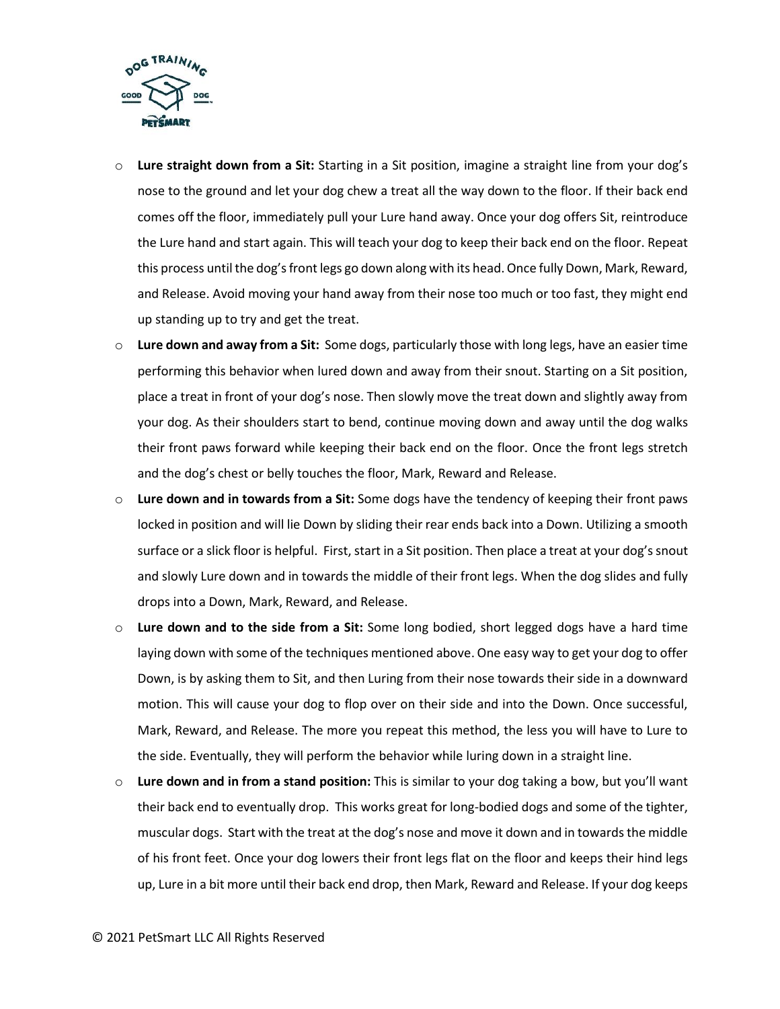

- o **Lure straight down from a Sit:** Starting in a Sit position, imagine a straight line from your dog's nose to the ground and let your dog chew a treat all the way down to the floor. If their back end comes off the floor, immediately pull your Lure hand away. Once your dog offers Sit, reintroduce the Lure hand and start again. This will teach your dog to keep their back end on the floor. Repeat this process until the dog's front legs go down along with its head. Once fully Down, Mark, Reward, and Release. Avoid moving your hand away from their nose too much or too fast, they might end up standing up to try and get the treat.
- o **Lure down and away from a Sit:** Some dogs, particularly those with long legs, have an easier time performing this behavior when lured down and away from their snout. Starting on a Sit position, place a treat in front of your dog's nose. Then slowly move the treat down and slightly away from your dog. As their shoulders start to bend, continue moving down and away until the dog walks their front paws forward while keeping their back end on the floor. Once the front legs stretch and the dog's chest or belly touches the floor, Mark, Reward and Release.
- o **Lure down and in towards from a Sit:** Some dogs have the tendency of keeping their front paws locked in position and will lie Down by sliding their rear ends back into a Down. Utilizing a smooth surface or a slick floor is helpful. First, start in a Sit position. Then place a treat at your dog's snout and slowly Lure down and in towards the middle of their front legs. When the dog slides and fully drops into a Down, Mark, Reward, and Release.
- o **Lure down and to the side from a Sit:** Some long bodied, short legged dogs have a hard time laying down with some of the techniques mentioned above. One easy way to get your dog to offer Down, is by asking them to Sit, and then Luring from their nose towards their side in a downward motion. This will cause your dog to flop over on their side and into the Down. Once successful, Mark, Reward, and Release. The more you repeat this method, the less you will have to Lure to the side. Eventually, they will perform the behavior while luring down in a straight line.
- o **Lure down and in from a stand position:** This is similar to your dog taking a bow, but you'll want their back end to eventually drop. This works great for long-bodied dogs and some of the tighter, muscular dogs. Start with the treat at the dog's nose and move it down and in towards the middle of his front feet. Once your dog lowers their front legs flat on the floor and keeps their hind legs up, Lure in a bit more until their back end drop, then Mark, Reward and Release. If your dog keeps